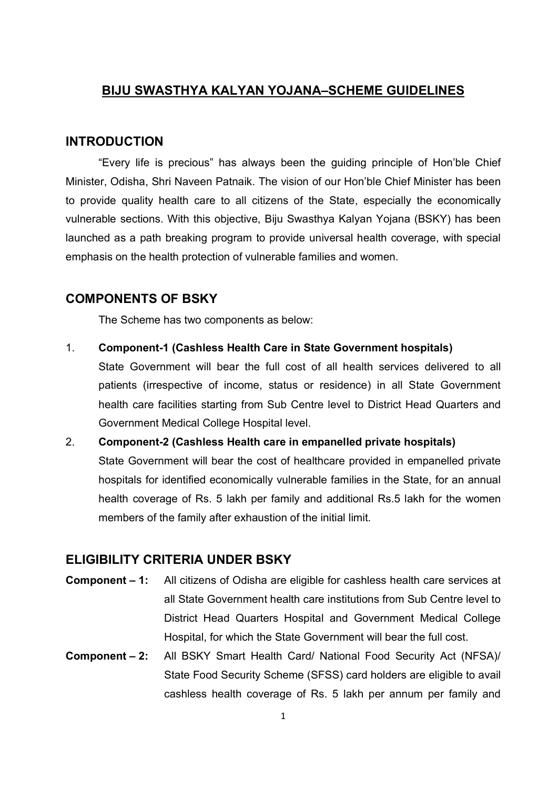# BIJU SWASTHYA KALYAN YOJANA–SCHEME GUIDELINES

#### INTRODUCTION

"Every life is precious" has always been the guiding principle of Hon'ble Chief Minister, Odisha, Shri Naveen Patnaik. The vision of our Hon'ble Chief Minister has been to provide quality health care to all citizens of the State, especially the economically vulnerable sections. With this objective, Biju Swasthya Kalyan Yojana (BSKY) has been launched as a path breaking program to provide universal health coverage, with special emphasis on the health protection of vulnerable families and women.

#### COMPONENTS OF BSKY

The Scheme has two components as below:

1. Component-1 (Cashless Health Care in State Government hospitals)

State Government will bear the full cost of all health services delivered to all patients (irrespective of income, status or residence) in all State Government health care facilities starting from Sub Centre level to District Head Quarters and Government Medical College Hospital level.

2. Component-2 (Cashless Health care in empanelled private hospitals) State Government will bear the cost of healthcare provided in empanelled private hospitals for identified economically vulnerable families in the State, for an annual health coverage of Rs. 5 lakh per family and additional Rs.5 lakh for the women members of the family after exhaustion of the initial limit.

#### ELIGIBILITY CRITERIA UNDER BSKY

- Component 1: All citizens of Odisha are eligible for cashless health care services at all State Government health care institutions from Sub Centre level to District Head Quarters Hospital and Government Medical College Hospital, for which the State Government will bear the full cost.
- Component 2: All BSKY Smart Health Card/ National Food Security Act (NFSA)/ State Food Security Scheme (SFSS) card holders are eligible to avail cashless health coverage of Rs. 5 lakh per annum per family and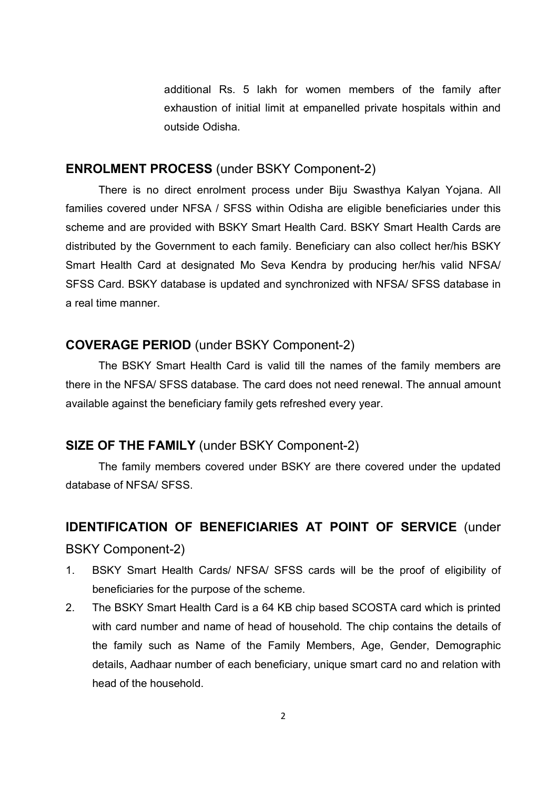additional Rs. 5 lakh for women members of the family after exhaustion of initial limit at empanelled private hospitals within and outside Odisha.

#### ENROLMENT PROCESS (under BSKY Component-2)

 There is no direct enrolment process under Biju Swasthya Kalyan Yojana. All families covered under NFSA / SFSS within Odisha are eligible beneficiaries under this scheme and are provided with BSKY Smart Health Card. BSKY Smart Health Cards are distributed by the Government to each family. Beneficiary can also collect her/his BSKY Smart Health Card at designated Mo Seva Kendra by producing her/his valid NFSA/ SFSS Card. BSKY database is updated and synchronized with NFSA/ SFSS database in a real time manner.

#### COVERAGE PERIOD (under BSKY Component-2)

 The BSKY Smart Health Card is valid till the names of the family members are there in the NFSA/ SFSS database. The card does not need renewal. The annual amount available against the beneficiary family gets refreshed every year.

#### SIZE OF THE FAMILY (under BSKY Component-2)

 The family members covered under BSKY are there covered under the updated database of NFSA/ SFSS.

# IDENTIFICATION OF BENEFICIARIES AT POINT OF SERVICE (under

#### BSKY Component-2)

- 1. BSKY Smart Health Cards/ NFSA/ SFSS cards will be the proof of eligibility of beneficiaries for the purpose of the scheme.
- 2. The BSKY Smart Health Card is a 64 KB chip based SCOSTA card which is printed with card number and name of head of household. The chip contains the details of the family such as Name of the Family Members, Age, Gender, Demographic details, Aadhaar number of each beneficiary, unique smart card no and relation with head of the household.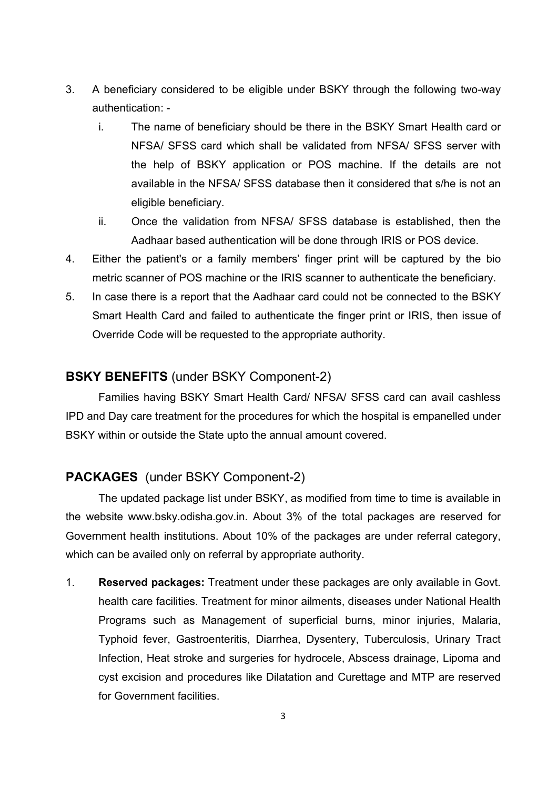- 3. A beneficiary considered to be eligible under BSKY through the following two-way authentication:
	- i. The name of beneficiary should be there in the BSKY Smart Health card or NFSA/ SFSS card which shall be validated from NFSA/ SFSS server with the help of BSKY application or POS machine. If the details are not available in the NFSA/ SFSS database then it considered that s/he is not an eligible beneficiary.
	- ii. Once the validation from NFSA/ SFSS database is established, then the Aadhaar based authentication will be done through IRIS or POS device.
- 4. Either the patient's or a family members' finger print will be captured by the bio metric scanner of POS machine or the IRIS scanner to authenticate the beneficiary.
- 5. In case there is a report that the Aadhaar card could not be connected to the BSKY Smart Health Card and failed to authenticate the finger print or IRIS, then issue of Override Code will be requested to the appropriate authority.

# BSKY BENEFITS (under BSKY Component-2)

Families having BSKY Smart Health Card/ NFSA/ SFSS card can avail cashless IPD and Day care treatment for the procedures for which the hospital is empanelled under BSKY within or outside the State upto the annual amount covered.

# PACKAGES (under BSKY Component-2)

The updated package list under BSKY, as modified from time to time is available in the website www.bsky.odisha.gov.in. About 3% of the total packages are reserved for Government health institutions. About 10% of the packages are under referral category, which can be availed only on referral by appropriate authority.

1. Reserved packages: Treatment under these packages are only available in Govt. health care facilities. Treatment for minor ailments, diseases under National Health Programs such as Management of superficial burns, minor injuries, Malaria, Typhoid fever, Gastroenteritis, Diarrhea, Dysentery, Tuberculosis, Urinary Tract Infection, Heat stroke and surgeries for hydrocele, Abscess drainage, Lipoma and cyst excision and procedures like Dilatation and Curettage and MTP are reserved for Government facilities.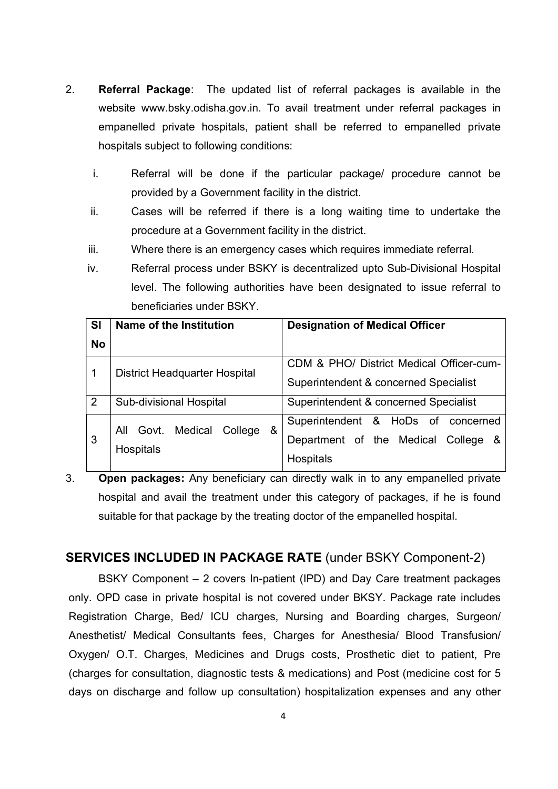- 2. Referral Package: The updated list of referral packages is available in the website www.bsky.odisha.gov.in. To avail treatment under referral packages in empanelled private hospitals, patient shall be referred to empanelled private hospitals subject to following conditions:
	- i. Referral will be done if the particular package/ procedure cannot be provided by a Government facility in the district.
	- ii. Cases will be referred if there is a long waiting time to undertake the procedure at a Government facility in the district.
	- iii. Where there is an emergency cases which requires immediate referral.
	- iv. Referral process under BSKY is decentralized upto Sub-Divisional Hospital level. The following authorities have been designated to issue referral to beneficiaries under BSKY.

| <b>SI</b><br><b>No</b> | Name of the Institution                                  | <b>Designation of Medical Officer</b>                                                  |
|------------------------|----------------------------------------------------------|----------------------------------------------------------------------------------------|
| 1                      | <b>District Headquarter Hospital</b>                     | CDM & PHO/ District Medical Officer-cum-<br>Superintendent & concerned Specialist      |
| $\overline{2}$         | Sub-divisional Hospital                                  | Superintendent & concerned Specialist                                                  |
| 3                      | Govt. Medical<br>&<br>College<br>All<br><b>Hospitals</b> | Superintendent & HoDs of concerned<br>Department of the Medical College &<br>Hospitals |

3. Open packages: Any beneficiary can directly walk in to any empanelled private hospital and avail the treatment under this category of packages, if he is found suitable for that package by the treating doctor of the empanelled hospital.

# SERVICES INCLUDED IN PACKAGE RATE (under BSKY Component-2)

BSKY Component – 2 covers In-patient (IPD) and Day Care treatment packages only. OPD case in private hospital is not covered under BKSY. Package rate includes Registration Charge, Bed/ ICU charges, Nursing and Boarding charges, Surgeon/ Anesthetist/ Medical Consultants fees, Charges for Anesthesia/ Blood Transfusion/ Oxygen/ O.T. Charges, Medicines and Drugs costs, Prosthetic diet to patient, Pre (charges for consultation, diagnostic tests & medications) and Post (medicine cost for 5 days on discharge and follow up consultation) hospitalization expenses and any other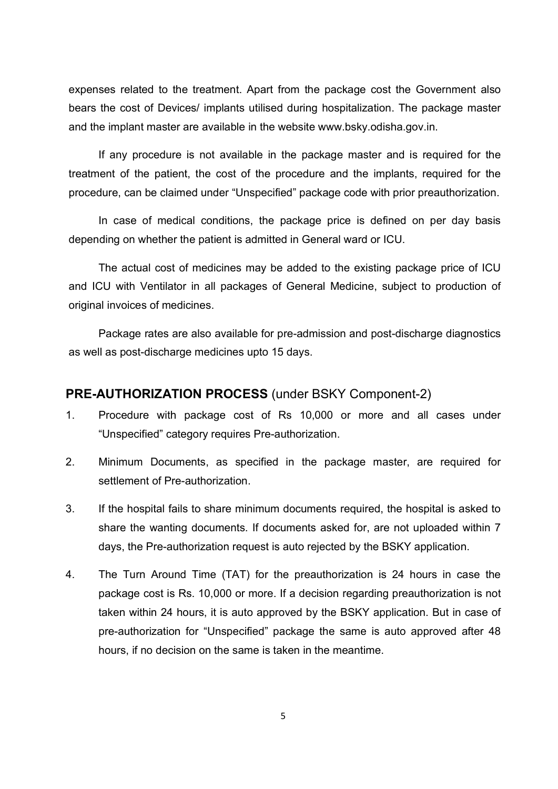expenses related to the treatment. Apart from the package cost the Government also bears the cost of Devices/ implants utilised during hospitalization. The package master and the implant master are available in the website www.bsky.odisha.gov.in.

If any procedure is not available in the package master and is required for the treatment of the patient, the cost of the procedure and the implants, required for the procedure, can be claimed under "Unspecified" package code with prior preauthorization.

In case of medical conditions, the package price is defined on per day basis depending on whether the patient is admitted in General ward or ICU.

The actual cost of medicines may be added to the existing package price of ICU and ICU with Ventilator in all packages of General Medicine, subject to production of original invoices of medicines.

Package rates are also available for pre-admission and post-discharge diagnostics as well as post-discharge medicines upto 15 days.

#### PRE-AUTHORIZATION PROCESS (under BSKY Component-2)

- 1. Procedure with package cost of Rs 10,000 or more and all cases under "Unspecified" category requires Pre-authorization.
- 2. Minimum Documents, as specified in the package master, are required for settlement of Pre-authorization.
- 3. If the hospital fails to share minimum documents required, the hospital is asked to share the wanting documents. If documents asked for, are not uploaded within 7 days, the Pre-authorization request is auto rejected by the BSKY application.
- 4. The Turn Around Time (TAT) for the preauthorization is 24 hours in case the package cost is Rs. 10,000 or more. If a decision regarding preauthorization is not taken within 24 hours, it is auto approved by the BSKY application. But in case of pre-authorization for "Unspecified" package the same is auto approved after 48 hours, if no decision on the same is taken in the meantime.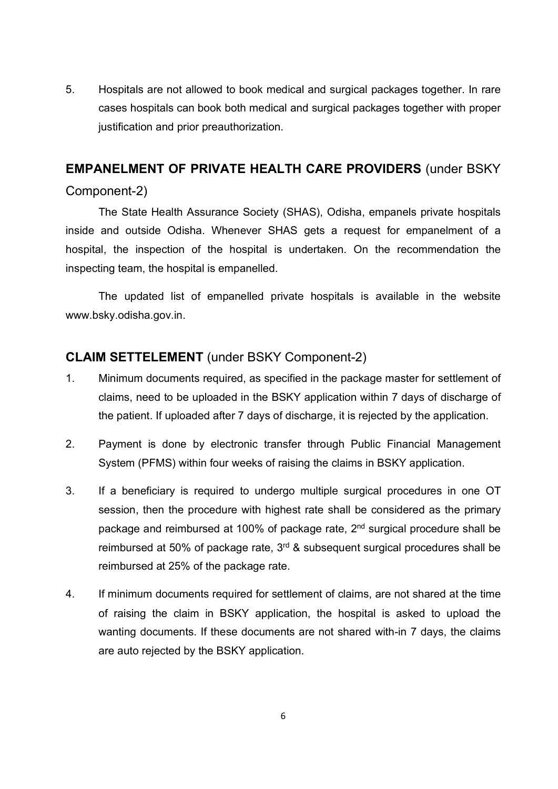5. Hospitals are not allowed to book medical and surgical packages together. In rare cases hospitals can book both medical and surgical packages together with proper justification and prior preauthorization.

#### EMPANELMENT OF PRIVATE HEALTH CARE PROVIDERS (under BSKY

#### Component-2)

The State Health Assurance Society (SHAS), Odisha, empanels private hospitals inside and outside Odisha. Whenever SHAS gets a request for empanelment of a hospital, the inspection of the hospital is undertaken. On the recommendation the inspecting team, the hospital is empanelled.

The updated list of empanelled private hospitals is available in the website www.bsky.odisha.gov.in.

# CLAIM SETTELEMENT (under BSKY Component-2)

- 1. Minimum documents required, as specified in the package master for settlement of claims, need to be uploaded in the BSKY application within 7 days of discharge of the patient. If uploaded after 7 days of discharge, it is rejected by the application.
- 2. Payment is done by electronic transfer through Public Financial Management System (PFMS) within four weeks of raising the claims in BSKY application.
- 3. If a beneficiary is required to undergo multiple surgical procedures in one OT session, then the procedure with highest rate shall be considered as the primary package and reimbursed at 100% of package rate, 2<sup>nd</sup> surgical procedure shall be reimbursed at 50% of package rate, 3<sup>rd</sup> & subsequent surgical procedures shall be reimbursed at 25% of the package rate.
- 4. If minimum documents required for settlement of claims, are not shared at the time of raising the claim in BSKY application, the hospital is asked to upload the wanting documents. If these documents are not shared with-in 7 days, the claims are auto rejected by the BSKY application.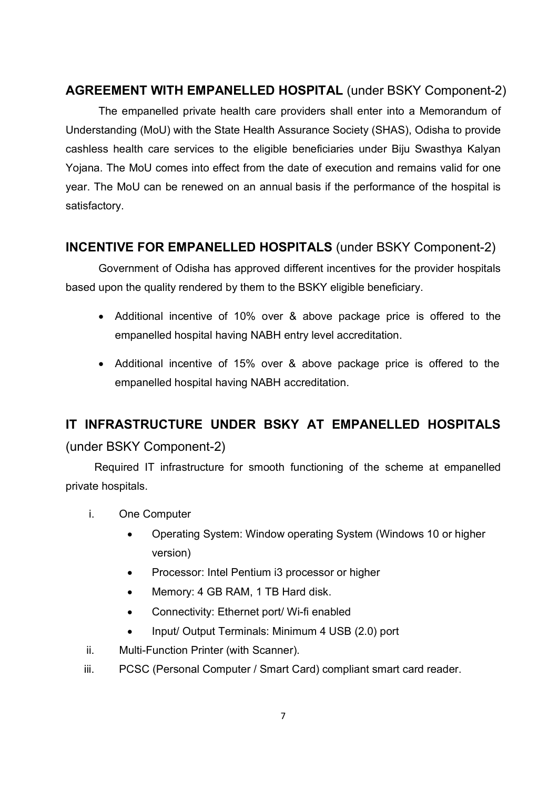# AGREEMENT WITH EMPANELLED HOSPITAL (under BSKY Component-2)

 The empanelled private health care providers shall enter into a Memorandum of Understanding (MoU) with the State Health Assurance Society (SHAS), Odisha to provide cashless health care services to the eligible beneficiaries under Biju Swasthya Kalyan Yojana. The MoU comes into effect from the date of execution and remains valid for one year. The MoU can be renewed on an annual basis if the performance of the hospital is satisfactory.

# INCENTIVE FOR EMPANELLED HOSPITALS (under BSKY Component-2)

Government of Odisha has approved different incentives for the provider hospitals based upon the quality rendered by them to the BSKY eligible beneficiary.

- Additional incentive of 10% over & above package price is offered to the empanelled hospital having NABH entry level accreditation.
- Additional incentive of 15% over & above package price is offered to the empanelled hospital having NABH accreditation.

# IT INFRASTRUCTURE UNDER BSKY AT EMPANELLED HOSPITALS

# (under BSKY Component-2)

Required IT infrastructure for smooth functioning of the scheme at empanelled private hospitals.

- i. One Computer
	- Operating System: Window operating System (Windows 10 or higher version)
	- Processor: Intel Pentium i3 processor or higher
	- Memory: 4 GB RAM, 1 TB Hard disk.
	- Connectivity: Ethernet port/ Wi-fi enabled
	- Input/ Output Terminals: Minimum 4 USB (2.0) port
- ii. Multi-Function Printer (with Scanner).
- iii. PCSC (Personal Computer / Smart Card) compliant smart card reader.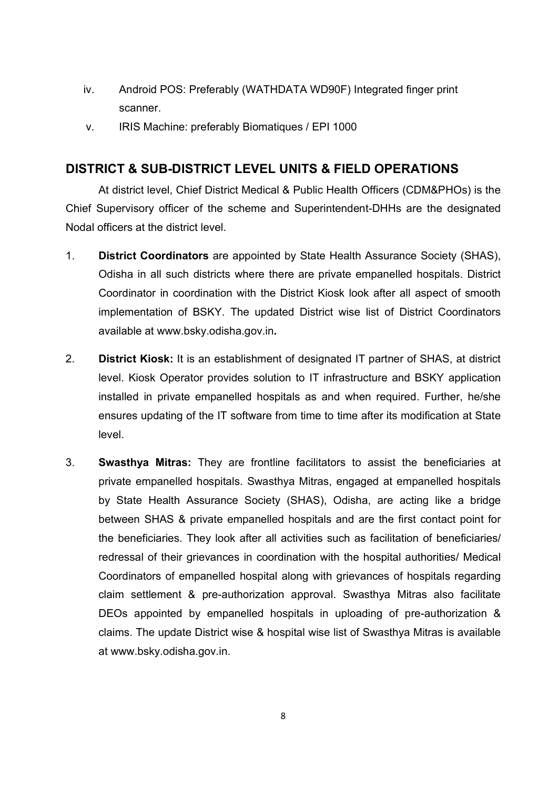- iv. Android POS: Preferably (WATHDATA WD90F) Integrated finger print scanner.
- v. IRIS Machine: preferably Biomatiques / EPI 1000

# DISTRICT & SUB-DISTRICT LEVEL UNITS & FIELD OPERATIONS

At district level, Chief District Medical & Public Health Officers (CDM&PHOs) is the Chief Supervisory officer of the scheme and Superintendent-DHHs are the designated Nodal officers at the district level.

- 1. District Coordinators are appointed by State Health Assurance Society (SHAS), Odisha in all such districts where there are private empanelled hospitals. District Coordinator in coordination with the District Kiosk look after all aspect of smooth implementation of BSKY. The updated District wise list of District Coordinators available at www.bsky.odisha.gov.in.
- 2. **District Kiosk:** It is an establishment of designated IT partner of SHAS, at district level. Kiosk Operator provides solution to IT infrastructure and BSKY application installed in private empanelled hospitals as and when required. Further, he/she ensures updating of the IT software from time to time after its modification at State level.
- 3. Swasthya Mitras: They are frontline facilitators to assist the beneficiaries at private empanelled hospitals. Swasthya Mitras, engaged at empanelled hospitals by State Health Assurance Society (SHAS), Odisha, are acting like a bridge between SHAS & private empanelled hospitals and are the first contact point for the beneficiaries. They look after all activities such as facilitation of beneficiaries/ redressal of their grievances in coordination with the hospital authorities/ Medical Coordinators of empanelled hospital along with grievances of hospitals regarding claim settlement & pre-authorization approval. Swasthya Mitras also facilitate DEOs appointed by empanelled hospitals in uploading of pre-authorization & claims. The update District wise & hospital wise list of Swasthya Mitras is available at www.bsky.odisha.gov.in.